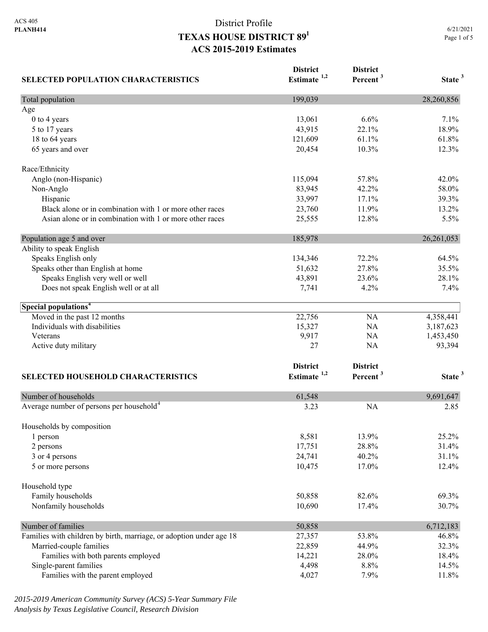| <b>SELECTED POPULATION CHARACTERISTICS</b>                          | <b>District</b><br>Estimate <sup>1,2</sup> | <b>District</b><br>Percent <sup>3</sup> | State <sup>3</sup> |
|---------------------------------------------------------------------|--------------------------------------------|-----------------------------------------|--------------------|
| Total population                                                    | 199,039                                    |                                         | 28,260,856         |
| Age                                                                 |                                            |                                         |                    |
| 0 to 4 years                                                        | 13,061                                     | 6.6%                                    | 7.1%               |
| 5 to 17 years                                                       | 43,915                                     | 22.1%                                   | 18.9%              |
| 18 to 64 years                                                      | 121,609                                    | 61.1%                                   | 61.8%              |
| 65 years and over                                                   | 20,454                                     | 10.3%                                   | 12.3%              |
| Race/Ethnicity                                                      |                                            |                                         |                    |
| Anglo (non-Hispanic)                                                | 115,094                                    | 57.8%                                   | 42.0%              |
| Non-Anglo                                                           | 83,945                                     | 42.2%                                   | 58.0%              |
| Hispanic                                                            | 33,997                                     | 17.1%                                   | 39.3%              |
| Black alone or in combination with 1 or more other races            | 23,760                                     | 11.9%                                   | 13.2%              |
| Asian alone or in combination with 1 or more other races            | 25,555                                     | 12.8%                                   | 5.5%               |
| Population age 5 and over                                           | 185,978                                    |                                         | 26, 261, 053       |
| Ability to speak English                                            |                                            |                                         |                    |
| Speaks English only                                                 | 134,346                                    | 72.2%                                   | 64.5%              |
| Speaks other than English at home                                   | 51,632                                     | 27.8%                                   | 35.5%              |
| Speaks English very well or well                                    | 43,891                                     | 23.6%                                   | 28.1%              |
| Does not speak English well or at all                               | 7,741                                      | 4.2%                                    | 7.4%               |
| Special populations <sup>4</sup>                                    |                                            |                                         |                    |
| Moved in the past 12 months                                         | 22,756                                     | NA                                      | 4,358,441          |
| Individuals with disabilities                                       | 15,327                                     | NA                                      | 3,187,623          |
| Veterans                                                            | 9,917                                      | NA                                      | 1,453,450          |
| Active duty military                                                | 27                                         | NA                                      | 93,394             |
|                                                                     | <b>District</b>                            |                                         |                    |
|                                                                     | Estimate <sup>1,2</sup>                    | <b>District</b><br>Percent <sup>3</sup> | State <sup>3</sup> |
| <b>SELECTED HOUSEHOLD CHARACTERISTICS</b>                           |                                            |                                         |                    |
| Number of households                                                | 61,548                                     |                                         | 9,691,647          |
| Average number of persons per household <sup>4</sup>                | 3.23                                       | <b>NA</b>                               | 2.85               |
| Households by composition                                           |                                            |                                         |                    |
| 1 person                                                            | 8,581                                      | 13.9%                                   | 25.2%              |
| 2 persons                                                           | 17,751                                     | 28.8%                                   | 31.4%              |
| 3 or 4 persons                                                      | 24,741                                     | 40.2%                                   | 31.1%              |
| 5 or more persons                                                   | 10,475                                     | 17.0%                                   | 12.4%              |
| Household type                                                      |                                            |                                         |                    |
| Family households                                                   | 50,858                                     | 82.6%                                   | 69.3%              |
| Nonfamily households                                                | 10,690                                     | 17.4%                                   | 30.7%              |
| Number of families                                                  | 50,858                                     |                                         | 6,712,183          |
| Families with children by birth, marriage, or adoption under age 18 | 27,357                                     | 53.8%                                   | 46.8%              |
| Married-couple families                                             | 22,859                                     | 44.9%                                   | 32.3%              |
| Families with both parents employed                                 | 14,221                                     | 28.0%                                   | 18.4%              |
| Single-parent families                                              | 4,498                                      | 8.8%                                    | 14.5%              |
| Families with the parent employed                                   | 4,027                                      | 7.9%                                    | 11.8%              |

*2015-2019 American Community Survey (ACS) 5-Year Summary File Analysis by Texas Legislative Council, Research Division*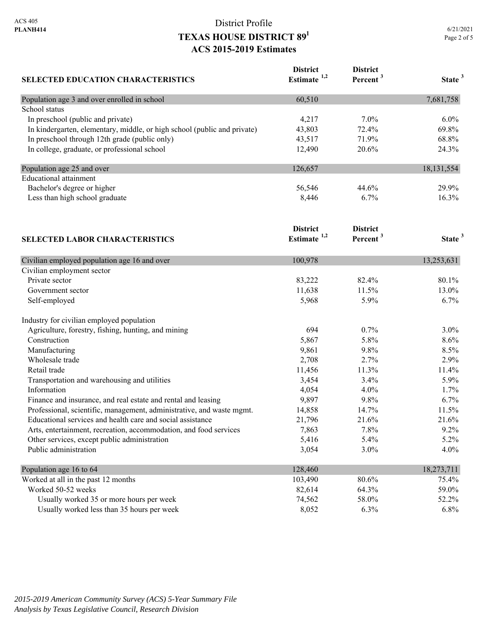| <b>SELECTED EDUCATION CHARACTERISTICS</b>                                | <b>District</b><br>Estimate <sup>1,2</sup> | <b>District</b><br>Percent <sup>3</sup> | State <sup>3</sup> |
|--------------------------------------------------------------------------|--------------------------------------------|-----------------------------------------|--------------------|
| Population age 3 and over enrolled in school                             | 60,510                                     |                                         | 7,681,758          |
| School status                                                            |                                            |                                         |                    |
| In preschool (public and private)                                        | 4,217                                      | 7.0%                                    | 6.0%               |
| In kindergarten, elementary, middle, or high school (public and private) | 43,803                                     | 72.4%                                   | 69.8%              |
| In preschool through 12th grade (public only)                            | 43,517                                     | 71.9%                                   | 68.8%              |
| In college, graduate, or professional school                             | 12,490                                     | 20.6%                                   | 24.3%              |
| Population age 25 and over                                               | 126,657                                    |                                         | 18, 131, 554       |
| <b>Educational</b> attainment                                            |                                            |                                         |                    |
| Bachelor's degree or higher                                              | 56,546                                     | 44.6%                                   | 29.9%              |
| Less than high school graduate                                           | 8,446                                      | 6.7%                                    | 16.3%              |
|                                                                          | <b>District</b>                            | <b>District</b>                         |                    |
| <b>SELECTED LABOR CHARACTERISTICS</b>                                    | Estimate $1,2$                             | Percent <sup>3</sup>                    | State <sup>3</sup> |
| Civilian employed population age 16 and over                             | 100,978                                    |                                         | 13,253,631         |
| Civilian employment sector                                               |                                            |                                         |                    |
| Private sector                                                           | 83,222                                     | 82.4%                                   | 80.1%              |
| Government sector                                                        | 11,638                                     | 11.5%                                   | 13.0%              |
| Self-employed                                                            | 5,968                                      | 5.9%                                    | 6.7%               |
| Industry for civilian employed population                                |                                            |                                         |                    |
| Agriculture, forestry, fishing, hunting, and mining                      | 694                                        | 0.7%                                    | 3.0%               |
| Construction                                                             | 5,867                                      | 5.8%                                    | 8.6%               |
| Manufacturing                                                            | 9,861                                      | 9.8%                                    | 8.5%               |
| Wholesale trade                                                          | 2,708                                      | 2.7%                                    | 2.9%               |
| Retail trade                                                             | 11,456                                     | 11.3%                                   | 11.4%              |
| Transportation and warehousing and utilities                             | 3,454                                      | 3.4%                                    | 5.9%               |
| Information                                                              | 4,054                                      | 4.0%                                    | 1.7%               |
| Finance and insurance, and real estate and rental and leasing            | 9,897                                      | 9.8%                                    | 6.7%               |
| Professional, scientific, management, administrative, and waste mgmt.    | 14,858                                     | 14.7%                                   | 11.5%              |
| Educational services and health care and social assistance               | 21,796                                     | 21.6%                                   | 21.6%              |
| Arts, entertainment, recreation, accommodation, and food services        | 7,863                                      | 7.8%                                    | 9.2%               |
| Other services, except public administration                             | 5,416                                      | 5.4%                                    | 5.2%               |
| Public administration                                                    | 3,054                                      | 3.0%                                    | 4.0%               |
| Population age 16 to 64                                                  | 128,460                                    |                                         | 18,273,711         |
| Worked at all in the past 12 months                                      | 103,490                                    | 80.6%                                   | 75.4%              |
| Worked 50-52 weeks                                                       | 82,614                                     | 64.3%                                   | 59.0%              |
| Usually worked 35 or more hours per week                                 | 74,562                                     | 58.0%                                   | 52.2%              |
| Usually worked less than 35 hours per week                               | 8,052                                      | 6.3%                                    | 6.8%               |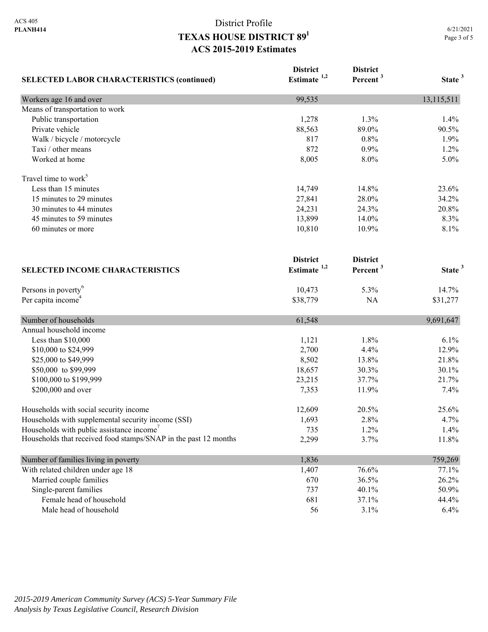| <b>SELECTED LABOR CHARACTERISTICS (continued)</b>               | <b>District</b><br>Estimate <sup>1,2</sup> | <b>District</b><br>Percent <sup>3</sup> | State <sup>3</sup> |
|-----------------------------------------------------------------|--------------------------------------------|-----------------------------------------|--------------------|
| Workers age 16 and over                                         | 99,535                                     |                                         | 13,115,511         |
| Means of transportation to work                                 |                                            |                                         |                    |
| Public transportation                                           | 1,278                                      | 1.3%                                    | 1.4%               |
| Private vehicle                                                 | 88,563                                     | 89.0%                                   | 90.5%              |
| Walk / bicycle / motorcycle                                     | 817                                        | 0.8%                                    | 1.9%               |
| Taxi / other means                                              | 872                                        | 0.9%                                    | 1.2%               |
| Worked at home                                                  | 8,005                                      | 8.0%                                    | 5.0%               |
| Travel time to work <sup>5</sup>                                |                                            |                                         |                    |
| Less than 15 minutes                                            | 14,749                                     | 14.8%                                   | 23.6%              |
| 15 minutes to 29 minutes                                        | 27,841                                     | 28.0%                                   | 34.2%              |
| 30 minutes to 44 minutes                                        | 24,231                                     | 24.3%                                   | 20.8%              |
| 45 minutes to 59 minutes                                        | 13,899                                     | 14.0%                                   | 8.3%               |
| 60 minutes or more                                              | 10,810                                     | 10.9%                                   | 8.1%               |
|                                                                 | <b>District</b>                            | <b>District</b>                         |                    |
| <b>SELECTED INCOME CHARACTERISTICS</b>                          | Estimate $1,2$                             | Percent <sup>3</sup>                    | State <sup>3</sup> |
| Persons in poverty <sup>6</sup>                                 | 10,473                                     | 5.3%                                    | 14.7%              |
| Per capita income <sup>4</sup>                                  | \$38,779                                   | NA                                      | \$31,277           |
| Number of households                                            | 61,548                                     |                                         | 9,691,647          |
| Annual household income                                         |                                            |                                         |                    |
| Less than \$10,000                                              | 1,121                                      | 1.8%                                    | 6.1%               |
| \$10,000 to \$24,999                                            | 2,700                                      | 4.4%                                    | 12.9%              |
| \$25,000 to \$49,999                                            | 8,502                                      | 13.8%                                   | 21.8%              |
| \$50,000 to \$99,999                                            | 18,657                                     | 30.3%                                   | 30.1%              |
| \$100,000 to \$199,999                                          | 23,215                                     | 37.7%                                   | 21.7%              |
| \$200,000 and over                                              | 7,353                                      | 11.9%                                   | 7.4%               |
| Households with social security income                          | 12,609                                     | 20.5%                                   | 25.6%              |
| Households with supplemental security income (SSI)              | 1,693                                      | 2.8%                                    | 4.7%               |
| Households with public assistance income <sup>7</sup>           | 735                                        | 1.2%                                    | 1.4%               |
| Households that received food stamps/SNAP in the past 12 months | 2,299                                      | 3.7%                                    | 11.8%              |
| Number of families living in poverty                            | 1,836                                      |                                         | 759,269            |
| With related children under age 18                              | 1,407                                      | 76.6%                                   | 77.1%              |
| Married couple families                                         | 670                                        | 36.5%                                   | 26.2%              |
| Single-parent families                                          | 737                                        | 40.1%                                   | 50.9%              |
| Female head of household                                        | 681                                        | 37.1%                                   | 44.4%              |
| Male head of household                                          | 56                                         | 3.1%                                    | 6.4%               |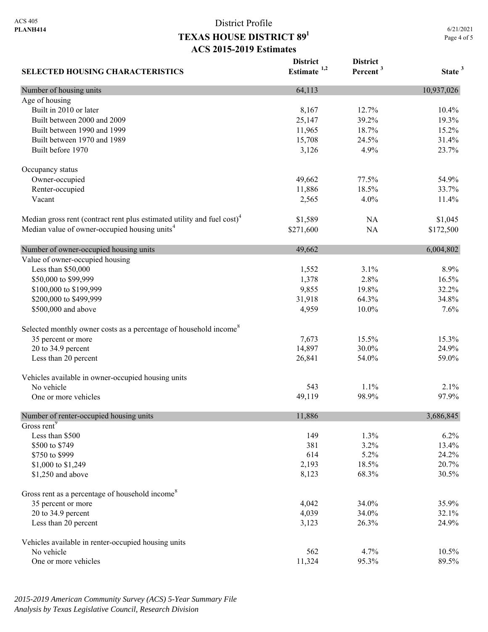| <b>SELECTED HOUSING CHARACTERISTICS</b>                                             | <b>District</b><br>Estimate $1,2$ | <b>District</b><br>Percent <sup>3</sup> | State <sup>3</sup> |
|-------------------------------------------------------------------------------------|-----------------------------------|-----------------------------------------|--------------------|
| Number of housing units                                                             | 64,113                            |                                         | 10,937,026         |
| Age of housing                                                                      |                                   |                                         |                    |
| Built in 2010 or later                                                              | 8,167                             | 12.7%                                   | 10.4%              |
| Built between 2000 and 2009                                                         | 25,147                            | 39.2%                                   | 19.3%              |
| Built between 1990 and 1999                                                         | 11,965                            | 18.7%                                   | 15.2%              |
| Built between 1970 and 1989                                                         | 15,708                            | 24.5%                                   | 31.4%              |
| Built before 1970                                                                   | 3,126                             | 4.9%                                    | 23.7%              |
| Occupancy status                                                                    |                                   |                                         |                    |
| Owner-occupied                                                                      | 49,662                            | 77.5%                                   | 54.9%              |
| Renter-occupied                                                                     | 11,886                            | 18.5%                                   | 33.7%              |
| Vacant                                                                              | 2,565                             | 4.0%                                    | 11.4%              |
| Median gross rent (contract rent plus estimated utility and fuel cost) <sup>4</sup> | \$1,589                           | <b>NA</b>                               | \$1,045            |
| Median value of owner-occupied housing units <sup>4</sup>                           | \$271,600                         | NA                                      | \$172,500          |
| Number of owner-occupied housing units                                              | 49,662                            |                                         | 6,004,802          |
| Value of owner-occupied housing                                                     |                                   |                                         |                    |
| Less than \$50,000                                                                  | 1,552                             | 3.1%                                    | 8.9%               |
| \$50,000 to \$99,999                                                                | 1,378                             | 2.8%                                    | 16.5%              |
| \$100,000 to \$199,999                                                              | 9,855                             | 19.8%                                   | 32.2%              |
| \$200,000 to \$499,999                                                              | 31,918                            | 64.3%                                   | 34.8%              |
| \$500,000 and above                                                                 | 4,959                             | 10.0%                                   | 7.6%               |
| Selected monthly owner costs as a percentage of household income <sup>8</sup>       |                                   |                                         |                    |
| 35 percent or more                                                                  | 7,673                             | 15.5%                                   | 15.3%              |
| 20 to 34.9 percent                                                                  | 14,897                            | 30.0%                                   | 24.9%              |
| Less than 20 percent                                                                | 26,841                            | 54.0%                                   | 59.0%              |
| Vehicles available in owner-occupied housing units                                  |                                   |                                         |                    |
| No vehicle                                                                          | 543                               | 1.1%                                    | 2.1%               |
| One or more vehicles                                                                | 49,119                            | 98.9%                                   | 97.9%              |
| Number of renter-occupied housing units                                             | 11,886                            |                                         | 3,686,845          |
| Gross rent <sup>9</sup>                                                             |                                   |                                         |                    |
| Less than \$500                                                                     | 149                               | 1.3%                                    | 6.2%               |
| \$500 to \$749                                                                      | 381                               | 3.2%                                    | 13.4%              |
| \$750 to \$999                                                                      | 614                               | 5.2%                                    | 24.2%              |
| \$1,000 to \$1,249                                                                  | 2,193                             | 18.5%                                   | 20.7%              |
| \$1,250 and above                                                                   | 8,123                             | 68.3%                                   | 30.5%              |
| Gross rent as a percentage of household income <sup>8</sup>                         |                                   |                                         |                    |
| 35 percent or more                                                                  | 4,042                             | 34.0%                                   | 35.9%              |
| 20 to 34.9 percent                                                                  | 4,039                             | 34.0%                                   | 32.1%              |
| Less than 20 percent                                                                | 3,123                             | 26.3%                                   | 24.9%              |
| Vehicles available in renter-occupied housing units                                 |                                   |                                         |                    |
| No vehicle                                                                          | 562                               | 4.7%                                    | 10.5%              |
| One or more vehicles                                                                | 11,324                            | 95.3%                                   | 89.5%              |